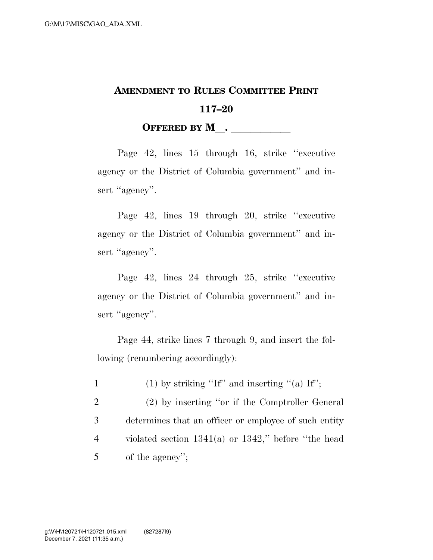## **AMENDMENT TO RULES COMMITTEE PRINT 117–20 OFFERED BY M**.

Page 42, lines 15 through 16, strike ''executive agency or the District of Columbia government'' and insert "agency".

Page 42, lines 19 through 20, strike ''executive agency or the District of Columbia government'' and insert "agency".

Page 42, lines 24 through 25, strike ''executive agency or the District of Columbia government'' and insert "agency".

Page 44, strike lines 7 through 9, and insert the following (renumbering accordingly):

1 (1) by striking "If" and inserting "(a) If";

 (2) by inserting ''or if the Comptroller General determines that an officer or employee of such entity violated section 1341(a) or 1342,'' before ''the head of the agency'';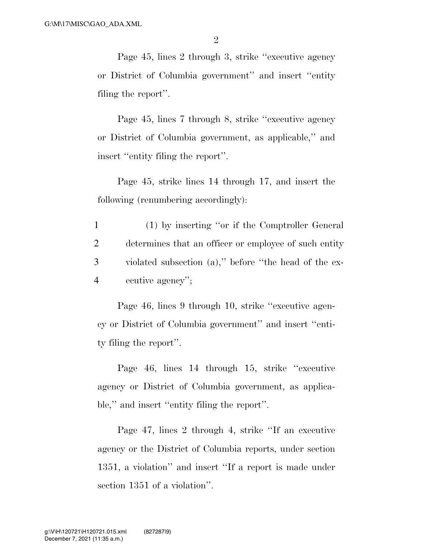Page 45, lines 2 through 3, strike ''executive agency or District of Columbia government'' and insert ''entity filing the report''.

Page 45, lines 7 through 8, strike ''executive agency or District of Columbia government, as applicable,'' and insert ''entity filing the report''.

Page 45, strike lines 14 through 17, and insert the following (renumbering accordingly):

 (1) by inserting ''or if the Comptroller General determines that an officer or employee of such entity violated subsection (a),'' before ''the head of the ex-ecutive agency'';

Page 46, lines 9 through 10, strike ''executive agency or District of Columbia government'' and insert ''entity filing the report''.

Page 46, lines 14 through 15, strike ''executive agency or District of Columbia government, as applicable,'' and insert ''entity filing the report''.

Page 47, lines 2 through 4, strike ''If an executive agency or the District of Columbia reports, under section 1351, a violation'' and insert ''If a report is made under section 1351 of a violation''.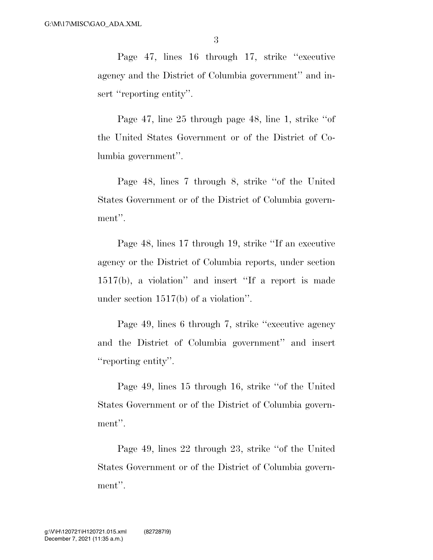Page 47, lines 16 through 17, strike ''executive agency and the District of Columbia government'' and insert "reporting entity".

Page 47, line 25 through page 48, line 1, strike ''of the United States Government or of the District of Columbia government''.

Page 48, lines 7 through 8, strike ''of the United States Government or of the District of Columbia government''.

Page 48, lines 17 through 19, strike ''If an executive agency or the District of Columbia reports, under section 1517(b), a violation'' and insert ''If a report is made under section 1517(b) of a violation''.

Page 49, lines 6 through 7, strike ''executive agency and the District of Columbia government'' and insert "reporting entity".

Page 49, lines 15 through 16, strike ''of the United States Government or of the District of Columbia government".

Page 49, lines 22 through 23, strike ''of the United States Government or of the District of Columbia government''.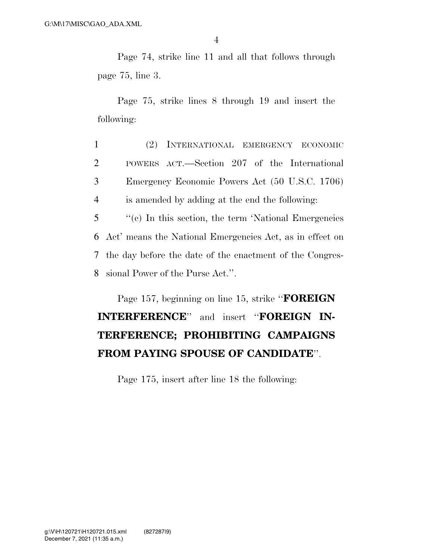4

Page 74, strike line 11 and all that follows through page 75, line 3.

Page 75, strike lines 8 through 19 and insert the following:

 (2) INTERNATIONAL EMERGENCY ECONOMIC POWERS ACT.—Section 207 of the International Emergency Economic Powers Act (50 U.S.C. 1706) is amended by adding at the end the following:

 ''(c) In this section, the term 'National Emergencies Act' means the National Emergencies Act, as in effect on the day before the date of the enactment of the Congres-sional Power of the Purse Act.''.

Page 157, beginning on line 15, strike ''**FOREIGN INTERFERENCE**'' and insert ''**FOREIGN IN-TERFERENCE; PROHIBITING CAMPAIGNS FROM PAYING SPOUSE OF CANDIDATE**''.

Page 175, insert after line 18 the following: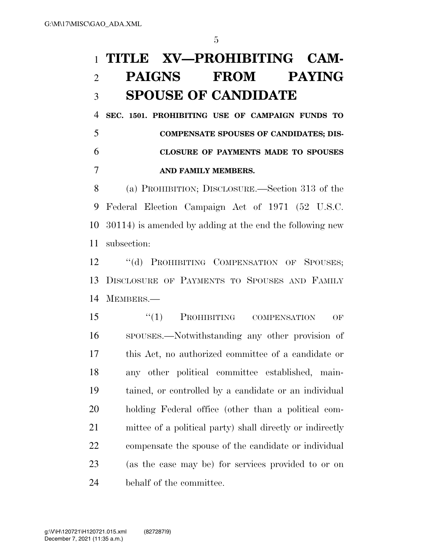## **TITLE XV—PROHIBITING CAM- PAIGNS FROM PAYING SPOUSE OF CANDIDATE**

 **SEC. 1501. PROHIBITING USE OF CAMPAIGN FUNDS TO COMPENSATE SPOUSES OF CANDIDATES; DIS- CLOSURE OF PAYMENTS MADE TO SPOUSES AND FAMILY MEMBERS.** 

 (a) PROHIBITION; DISCLOSURE.—Section 313 of the Federal Election Campaign Act of 1971 (52 U.S.C. 30114) is amended by adding at the end the following new subsection:

12 "(d) PROHIBITING COMPENSATION OF SPOUSES; DISCLOSURE OF PAYMENTS TO SPOUSES AND FAMILY MEMBERS.—

15 "(1) PROHIBITING COMPENSATION OF SPOUSES.—Notwithstanding any other provision of this Act, no authorized committee of a candidate or any other political committee established, main- tained, or controlled by a candidate or an individual holding Federal office (other than a political com- mittee of a political party) shall directly or indirectly compensate the spouse of the candidate or individual (as the case may be) for services provided to or on behalf of the committee.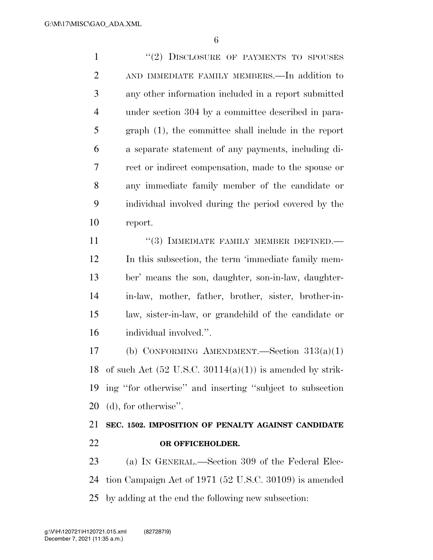1 "(2) DISCLOSURE OF PAYMENTS TO SPOUSES AND IMMEDIATE FAMILY MEMBERS.—In addition to any other information included in a report submitted under section 304 by a committee described in para- graph (1), the committee shall include in the report a separate statement of any payments, including di- rect or indirect compensation, made to the spouse or any immediate family member of the candidate or individual involved during the period covered by the report.

11 "(3) IMMEDIATE FAMILY MEMBER DEFINED.— In this subsection, the term 'immediate family mem- ber' means the son, daughter, son-in-law, daughter- in-law, mother, father, brother, sister, brother-in- law, sister-in-law, or grandchild of the candidate or individual involved.''.

 (b) CONFORMING AMENDMENT.—Section 313(a)(1) 18 of such Act  $(52 \text{ U.S.C. } 30114(a)(1))$  is amended by strik- ing ''for otherwise'' and inserting ''subject to subsection (d), for otherwise''.

## **SEC. 1502. IMPOSITION OF PENALTY AGAINST CANDIDATE OR OFFICEHOLDER.**

 (a) IN GENERAL.—Section 309 of the Federal Elec- tion Campaign Act of 1971 (52 U.S.C. 30109) is amended by adding at the end the following new subsection: